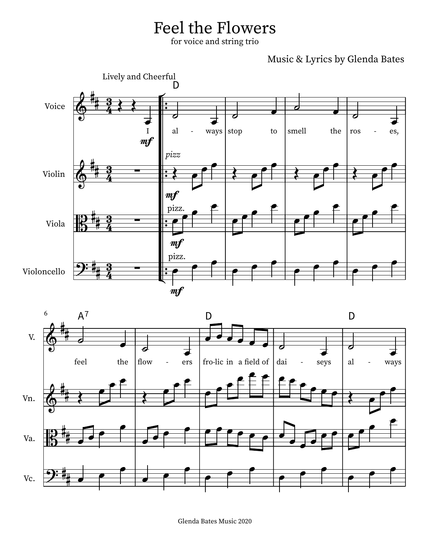## Feel the Flowers

for voice and string trio

Music & Lyrics by Glenda Bates





Glenda Bates Music 2020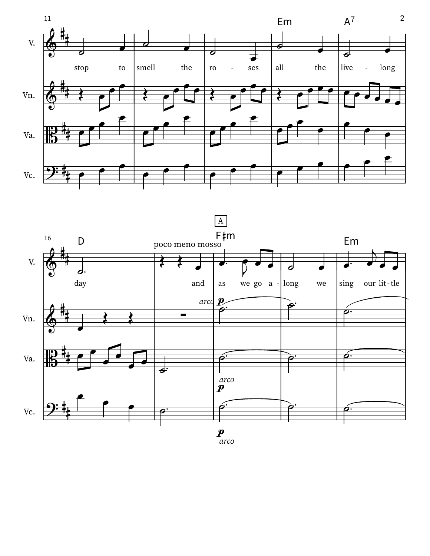

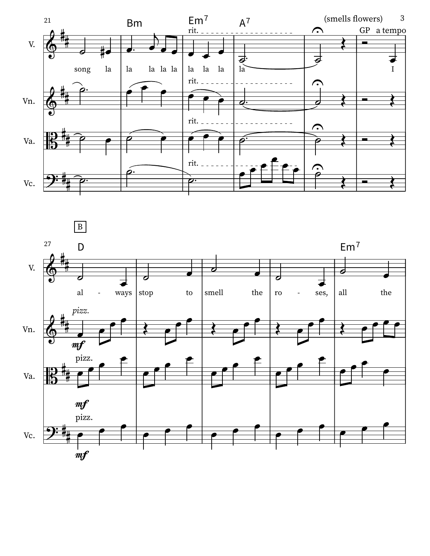

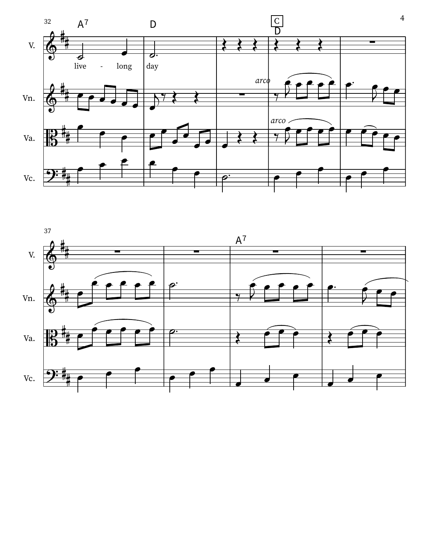

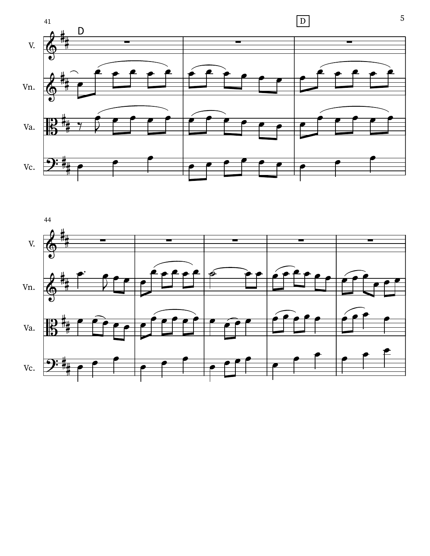



5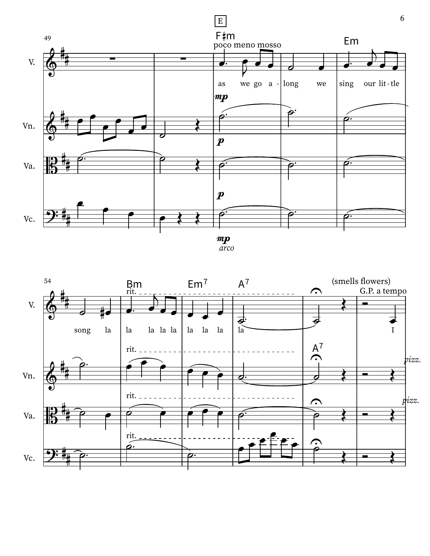